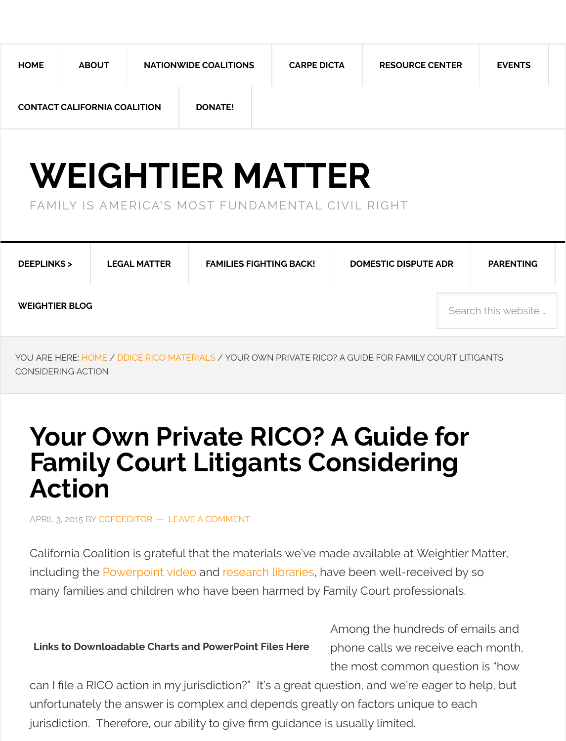# **WEIGHTIER MATTER**

# [FAMI](http://www.weightiermatter.com/)[LY IS AME](http://www.weightiermatter.com/resource-center-ddice-rico-materials/your-own-private-rico-a-guide-for-family-court-litigants-considering-action/5880/#)[RICA](http://www.weightiermatter.com/nationwide-coalitions/)'[S MOST FUNDA](http://www.weightiermatter.com/nationwide-coalitions/)[MENTAL CIVIL RIGHT](http://www.weightiermatter.com/resource-center-ddice-rico-materials/your-own-private-rico-a-guide-for-family-court-litigants-considering-action/5880/#)

| <b>WEIGHTIER BLOG</b> | <b>DEEPLINKS&gt;</b> | <b>LEGAL MATTER</b> | <b>FAMILIES FIGHTING BACK!</b> | <b>DOMESTIC DISPUTE AD</b> |
|-----------------------|----------------------|---------------------|--------------------------------|----------------------------|
|                       |                      |                     |                                |                            |

YOU ARE HERE: HOME / DDICE RICO MATERIALS [/ YOUR OWN PRIVATE RICO? A GUIDE](http://www.weightiermatter.com/) FOR FAMILY COU CONSIDERING ACTION

# **[Your Own Pri](http://www.weightiermatter.com/resource-center-ddice-rico-materials/your-own-private-rico-a-guide-for-family-court-litigants-considering-action/5880/#)[vate RICO?](http://www.weightiermatter.com/category/families-fighting-back-2/) A Guide f [Family](http://www.weightiermatter.com/blog/) Court Litigants Considering Action**

APRIL 3, 201[5 BY CC](http://www.weightiermatter.com/)FCEDITOR — [LEAVE A CO](http://www.weightiermatter.com/category/resource-center-ddice-rico-materials/)MMENT

California Coalition is grateful that the materials we've made available at Weig including the Powerpoint video and research libraries, have been well-receive many families and children who have been harmed by Family Court profession

**Links to Downloadable Charts and PowerPoint Files Here**

Among the hundreds phone calls we receiv the most common qu

can I file a RI[CO action i](http://www.weightiermatter.com/author/ccfceditor/)n [my jurisdiction?"](http://www.weightiermatter.com/resource-center-ddice-rico-materials/your-own-private-rico-a-guide-for-family-court-litigants-considering-action/5880/#respond) It's a great question, and we're eage unfortunately the answer is complex and depends greatly on factors unique to jurisdiction. Therefore, our ability to give frm guidance is usually limited.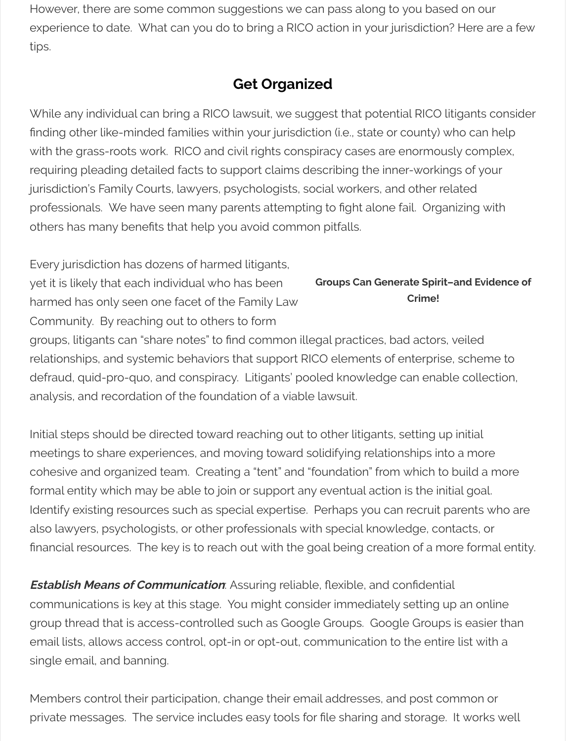requiring pleading detailed facts to support claims describing the inner-working jurisdiction's Family Courts, lawyers, psychologists, social workers, and other relationprofessionals. We have seen many parents attempting to fight alone fail. Organizing with with with maniform and  $m$ others has many benefts that help you avoid common pitfalls.

**Groups Can Generate Spiri Crime!** Every jurisdiction has dozens of harmed litigants, yet it is likely that each individual who has been harmed has only seen one facet of the Family Law Community. By reaching out to others to form groups, litigants can "share notes" to find common illegal practices, bad actors relationships, and systemic behaviors that support RICO elements of enterpris defraud, quid-pro-quo, and conspiracy. Litigants' pooled knowledge can enal analysis, and recordation of the foundation of a viable lawsuit.

Initial steps should be directed toward reaching out to other litigants, setting u meetings to share experiences, and moving toward solidifying relationships in cohesive and organized team. Creating a "tent" and "foundation" from which to formal entity which may be able to join or support any eventual action is the ine Identify existing resources such as special expertise. Perhaps you can recruit also lawyers, psychologists, or other professionals with special knowledge, co financial resources. The key is to reach out with the goal being creation of a m

**Establish Means of Communication**: Assuring reliable, flexible, and confidenti communications is key at this stage. You might consider immediately setting group thread that is access-controlled such as Google Groups. Google Group email lists, allows access control, opt-in or opt-out, communication to the enti single email, and banning.

Members control their participation, change their email addresses, and post component private messages. The service includes easy tools for file sharing and storage.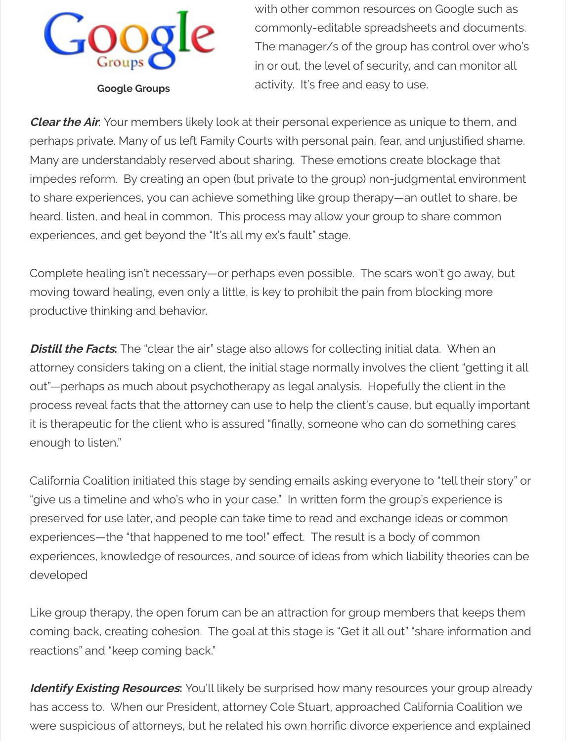[impedes reform. By creating an open](http://www.weightiermatter.com/resource-center-ddice-rico-materials/your-own-private-rico-a-guide-for-family-court-litigants-considering-action/5880/groups.google.com) (but private to the group) non-judgment to share experiences, you can achieve something like group therapy—an outlet heard, listen, and heal in common. This process may allow your group to share experiences, and get beyond the "It's all my ex's fault" stage.

Complete healing isn't necessary—or perhaps even possible. The scars won't moving toward healing, even only a little, is key to prohibit the pain from block productive thinking and behavior.

**Distill the Facts:** The "clear the air" stage also allows for collecting initial data. attorney considers taking on a client, the initial stage normally involves the client out"—perhaps as much about psychotherapy as legal analysis. Hopefully the process reveal facts that the attorney can use to help the client's cause, but equally it is therapeutic for the client who is assured "finally, someone who can do sor enough to listen."

California Coalition initiated this stage by sending emails asking everyone to "t "give us a timeline and who's who in your case." In written form the group's ex preserved for use later, and people can take time to read and exchange ideas experiences—the "that happened to me too!" effect. The result is a body of comexperiences, knowledge of resources, and source of ideas from which liability developed

Like group therapy, the open forum can be an attraction for group members them coming back, creating cohesion. The goal at this stage is "Get it all out" "share reactions" and "keep coming back."

**Identify Existing Resources:** You'll likely be surprised how many resources yo has access to. When our President, attorney Cole Stuart, approached Californ were suspicious of attorneys, but he related his own horrific divorce experienc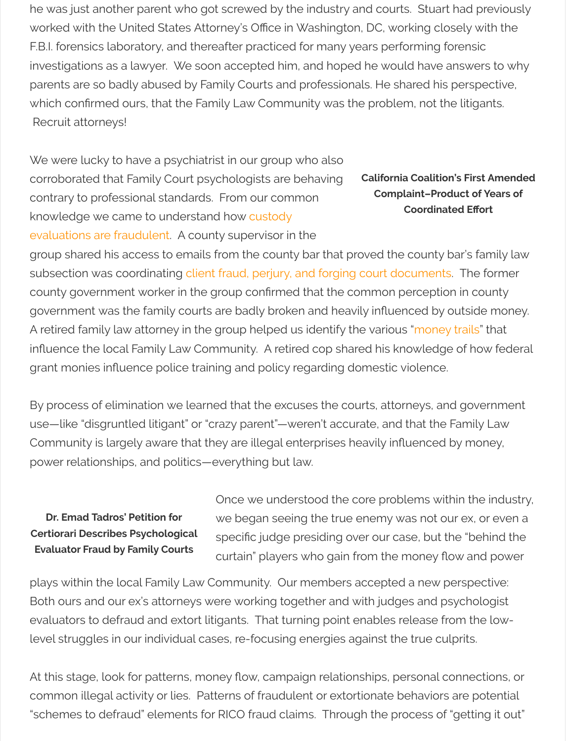corroborated that Family Court psychologists are behaving contrary to professional standards. From our common knowledge we came to understand how custody

**California Coalition Complaint-Pro Coordina** 

evaluations are fraudulent. A county supervisor in the group shared his access to emails from the county bar that proved the county subsection was coordinating client fraud, perjury, and forging court document county government worker in the group confirmed that the common perception government was the family courts are badly broken and heavily influenced by A retired family law attorney in the group helped us identify the various "mone influence the local Family Law Community. A retired cop shared his knowledg grant monies infuence police training and policy regarding domestic violence.

[By process of elimination we learned that the exc](http://www.weightiermatter.com/parenting/custody-mediatorsevaluators/child-custody-evaluations-fraud-research-psychologists/3153/)uses the courts, attorneys, and government at that  $\alpha$ use-like "disgruntled litigant" or "crazy parent"-weren't accurate, and that the Community is largely aware t[hat they are illegal enterprises heavily in](http://www.weightiermatter.com/parenting/custody-mediatorsevaluators/ccfc-amicus-brief-re-doyne/10/)fluenced power relationships, and politics—everything but law.

**Dr. Emad Tadros' Petition for Certiorari Describes Psychological Evaluator Fraud by Family Courts**

Once we understood the core problems with we began seeing the true enemy was not our specific judge presiding over our case, but curtain" players who gain from the money fow

plays within the local Family Law Community. Our members accepted a new Both ours and our ex's attorneys were working together and with judges and p evaluators to defraud and extort litigants. That turning point enables release f level struggles in our individual cases, re-focusing energies against the true cu

[At this stage, look for patterns, m](http://www.weightiermatter.com/parenting/custody-mediatorsevaluators/tadros-v-lesh-petition-for-certiorari/211/)oney flow, campaign relationships, personal or common illegal activity or lies. Patterns of fraudulent or extortionate behavior "schemes to defraud" elements for RICO fraud claims. Through the process of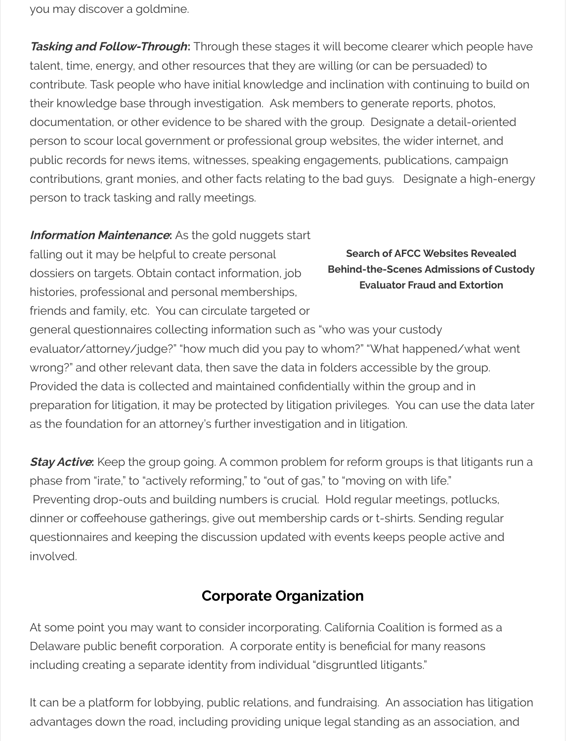contributions, grant monies, and other facts relating to the bad guys. Designa person to track tasking and rally meetings.

**Information Maintenance**: As the gold nuggets start

falling out it may be helpful to create personal dossiers on targets. Obtain contact information, job histories, professional and personal memberships, friends and family, etc. You can circulate targeted or

**Search of AFCC Web Behind-the-Scenes Adm Evaluator Fraud a** 

general questionnaires collecting information such as "who was your custody evaluator/attorney/judge?" "how much did you pay to whom?" "What happen wrong?" and other relevant data, then save the data in folders accessible by th Provided the data is collected and maintained confidentially within the group and in preparation for litigation, it may be protected by litigation privileges. You can u as the foundation for an attorney's further investigation and in litigation.

**Stay Active:** Keep the group going. A common problem for reform groups is the phase from "irate," to "actively reforming," to "out of gas," to "moving on with life Preventing drop-outs and building numbers is crucial. Hold regular meetings dinner or coffeehouse gatherings, give out membership cards or t-shirts. Send questionnaires and keeping the discussion updated with events keeps people involved.

# **Corporate Organization**

At some point you may want to consider incorporating. California Coalition is fo Delaware public benefit corporation. A corporate entity is beneficial for many including creating a separate identity from individual "disgruntled litigants."

It can be a platform for lobbying, public relations, and fundraising. An association advantages down the road, including providing unique legal standing as an as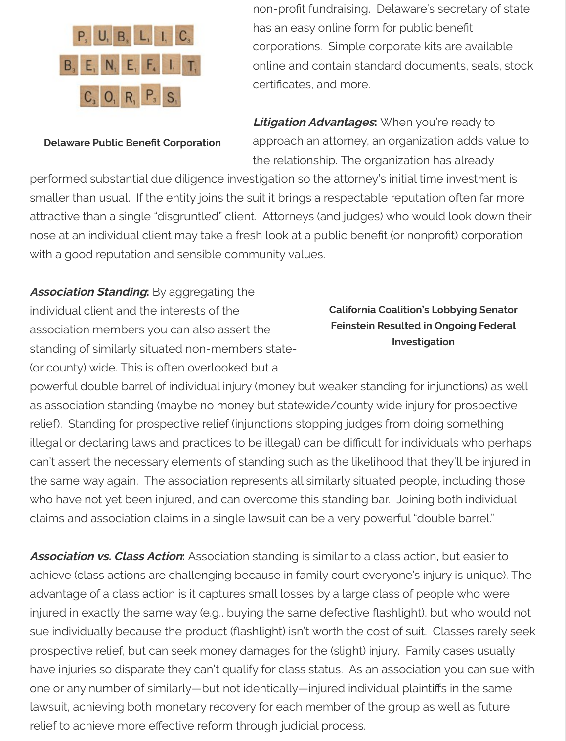[performed substantial due diligence i](http://benefitcorp.net/storage/documents/How_to_Become_a_DE_Public_Benefit_Corporation_Charter_Amendment.pdf)nvestigation so the attorney's initial time smaller than usual. If the entity joins the suit it brings a respectable reputation attractive than a single "disgruntled" client. Attorneys (and judges) who would nose at an individual client may take a fresh look at a public benefit (or nonpro with a good reputation and sensible community values.

### **Association Standing:** By aggregating the

individual client and the interests of the association members you can also assert the standing of similarly situated non-members state- (or county) wide. This is often overlooked but a

**California Coalition's Lo Feinstein Resulted in Ongoing Investigation** 

powerful double barrel of individual injury (money but weaker standing for inju as association standing (maybe no money but statewide/county wide injury for relief). Standing for prospective relief (injunctions stopping judges from doing illegal or declaring laws and practices to be illegal) can be difficult for individu can't assert the necessary elements of standing such as the likelihood that the the same way again. The association represents all similarly situated people, in who have not yet been injured, and can overcome this standing bar. Joining b claims and association claims in a single lawsuit can be a very powerful "doub

**Association vs. Class Action:** Association standing is similar to a class action, but achieve (class actions are challenging because in family court everyone's injure advantage of a class action is it captures small losses by a large class of peop injured in exactly the same way (e.g., buying the same defective flashlight), but sue individually because the product (flashlight) isn't worth the cost of suit. Cl prospective relief, but can seek money damages for the (slight) injury. Family have injuries so disparate they can't qualify for class status. As an association one or any number of similarly—but not identically—injured individual plaintiffs lawsuit, achieving both monetary recovery for each member of the group as w relief to achieve more efective reform through judicial process.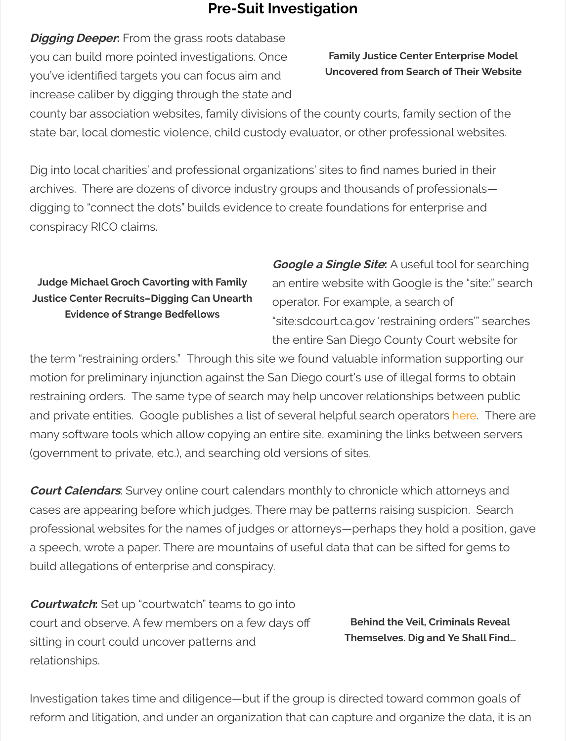Dig into local charities' and professional organizations' sites to find names burie archives. There are dozens of divorce industry groups and thousands of profe digging to "connect the dots" builds evidence to create foundations for enterp conspiracy RICO claims.

### **Judge Michael Groch Cavorting with Family Justice Center Recruits–Digging Can Unearth Evidence of Strange Bedfellows**

**Google a Single Site:** A useful to an entire website with Google is operator. For example, a search "site:sdcourt.ca.gov 'restraining c the entire San Diego County Cou

the term "restraining orders." Through this site we found valuable information motion for preliminary injunction against the San Diego court's use of illegal for restraining orders. The same type of search may help uncover relationships b and private entities. Google publishes a list of several helpful search operator [many software tools which allow copying a](http://www.weightiermatter.com/law/ccfc-cease-and-desistnotice-re-42-u-s-c-sections-1986-1985-2/1704/)n entire site, examining the links be (government to private, etc.), and searching old versions of sites.

**Court Calendars**: Survey online court calendars monthly to chronicle which at cases are appearing before which judges. There may be patterns raising suspi professional websites for the names of judges or attorneys—perhaps they hold a speech, wrote a paper. There are mountains of useful data that can be sifted build allegations of enterprise and conspiracy.

**Courtwatch:** Set up "courtwatch" teams to go into court and observe. A few members on a few days of sitting in court could uncover patterns and relationships.

**Behind the Veil, Cring Themselves. Dig and** 

Investigation takes time and diligence—but if the group is directed toward cor reform and litigation, and under an organization that can capture and organize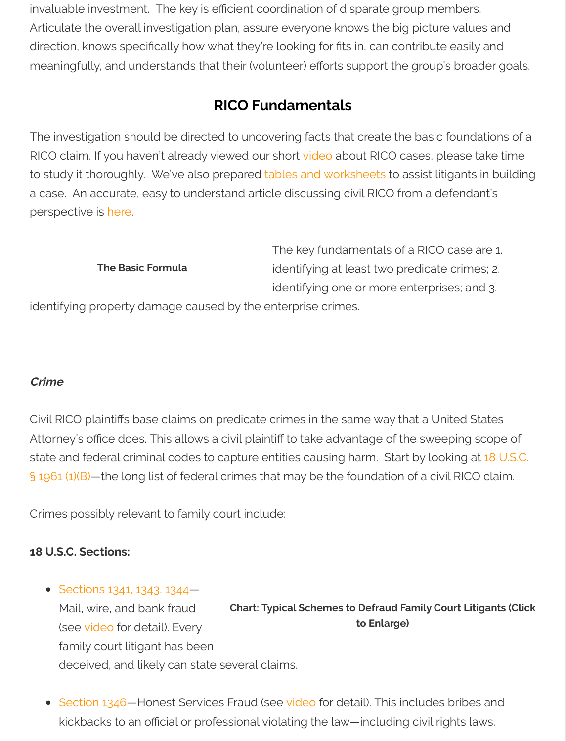to study it thoroughly. We've also prepared tables and worksheets to assist lit a case. An accurate, easy to understand article discussing civil RICO from a de perspective is here.

|                                                              | The key fundamentals of a RICO     |
|--------------------------------------------------------------|------------------------------------|
| <b>The Basic Formula</b>                                     | identifying at least two predicate |
|                                                              | identifying one or more enterpris  |
| identifying property damage caused by the enterprise crimes. |                                    |

### **Crime**

Civil RICO plaintiff[s base claims on predica](http://www.weightiermatter.com/divorce/family-court-racketeering-101-short-video-explains-identify-recover-divorce-industry-racketeering/5184/)te crimes in the same way that a Ur Attorney's office does. This allows a civil plaintiff to take advantage of the swee state and federal criminal codes to capture entities causing harm. Start by loo § 1961 (1)(B)-the long list of federal crimes that may be the foundation of a civ

Crimes possibly relevant to family court include:

### **18 U.S.C. Sections:**

• Sections 1341, 1343, 1344–

**Chart: Typical Schemes to Defraud Family Court Littigation to Enlarge)** Mail, wire, and bank fraud [\(see video for detail\). Every](https://www.law.cornell.edu/uscode/text/18/1961) family court litigant has been deceived, and likely can state several claims.

• Section 1346–Honest Services Fraud (see video for detail). This includes kickbacks to an official or professional violating the law—including civil rights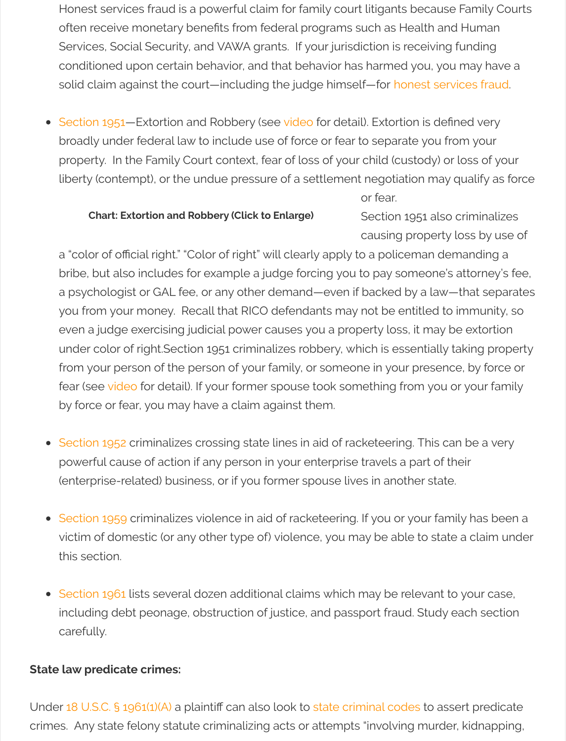liberty (contempt), or the undue pressure of a settlement negotiation ma

or fear.

#### **Chart: Extortion and Robbery (Click to Enlarge)**

Section 1951 als causing propert

a "color of official right." "Color of right" will clearly apply to a policeman d bribe, but also includes for example a judge forcing you to pay someone [a psychologi](https://www.law.cornell.edu/uscode/text/18/1951)st or GAL fee, or any other de[mand—](http://www.weightiermatter.com/divorce/family-court-racketeering-101-short-video-explains-identify-recover-divorce-industry-racketeering/5184/)even if backed by a lav you from your money. Recall that RICO defendants may not be entitled to even a judge exercising judicial power causes you a property loss, it may under color of right.Section 1951 criminalizes robbery, which is essentially [from your person of the person of your family, or some](http://i0.wp.com/www.weightiermatter.com/wp-content/uploads/2014/11/RICO-Suits-Against-State-Courts-Images_Page_11.jpg)one in your preser fear (see video for detail). If your former spouse took something from you by force or fear, you may have a claim against them.

- Section 1952 criminalizes crossing state lines in aid of racketeering. This powerful cause of action if any person in your enterprise travels a part of (enterprise-related) business, or if you former spouse lives in another sta
- Section 1959 criminalizes violence in aid of racketeering. If you or your fa victim of domestic (or any other type of) violence, you may be able to state this secti[on.](http://www.weightiermatter.com/divorce/family-court-racketeering-101-short-video-explains-identify-recover-divorce-industry-racketeering/5184/)
- Section 1961 lists several dozen additional claims which may be relevant [including deb](https://www.law.cornell.edu/uscode/text/18/1952)t peonage, obstruction of justice, and passport fraud. Study carefully.

### **State law predicate crimes:**

Under 18 U.S.C. § 1961(1)(A) a plaintiff can also look to state criminal codes to a crimes. Any state felony statute criminalizing acts or attempts "involving murc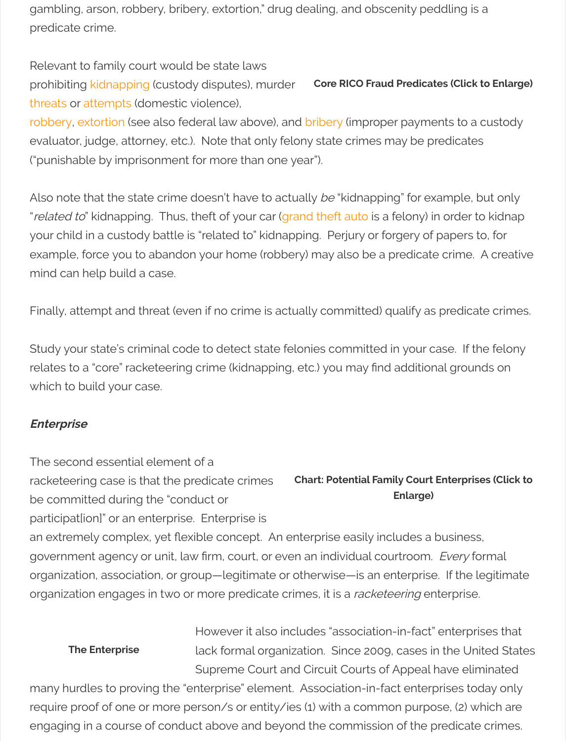Also note that the state crime doesn't have to actually be "kidnapping" for exare "related to" kidnapping. Thus, theft of your car (grand theft auto is a felony) in your child in a custody battle is "related to" kidnapping. Perjury or forgery of p example, f[orce you to a](http://www.leginfo.ca.gov/cgi-bin/displaycode?section=pen&group=00001-01000&file=207-210)bandon your home (robbery) may also be a predicate or [mind ca](http://www.leginfo.ca.gov/cgi-bin/displaycode?section=pen&group=00001-01000&file=422-422.4)n [help build](http://www.leginfo.ca.gov/cgi-bin/displaycode?section=pen&group=00001-01000&file=217.1-219.3) a case.

Finally, attempt and threat (even if no crime is actually committed) qualify as p

Study your state's criminal code to detect state felonies committed in your case. relates to a "core" racketeering crime (kidnapping, etc.) you may find additiona which to build your case.

### **Enterprise**

**The Enterprise**

**Chart: Potential Family Court Enterprise Enlarge)** The second essential element of a racketeering case is that the predicate crimes be committed during the "conduct or participat[ion]" or an enterprise. Enterprise is an extremely complex, yet flexible concept. An enterprise easily includes a bu government agency or unit, law firm, court, or even an individual courtroom. Even organization, association, or group—legitimate or otherwise—is an enterprise. organization engages in two or more predicate crimes, it is a *racketeering* enter

> However it also includes "association-in-fact" e lack formal organization. Since 2009, cases in t Supreme Court and Circuit Courts of Appeal ha

many hurdles to proving the "enterprise" element. Association-in-fact enterpr require proof of one or more person/s or entity/ies (1) with a common purpose engaging in a course of conduct above and beyond the commission of the pre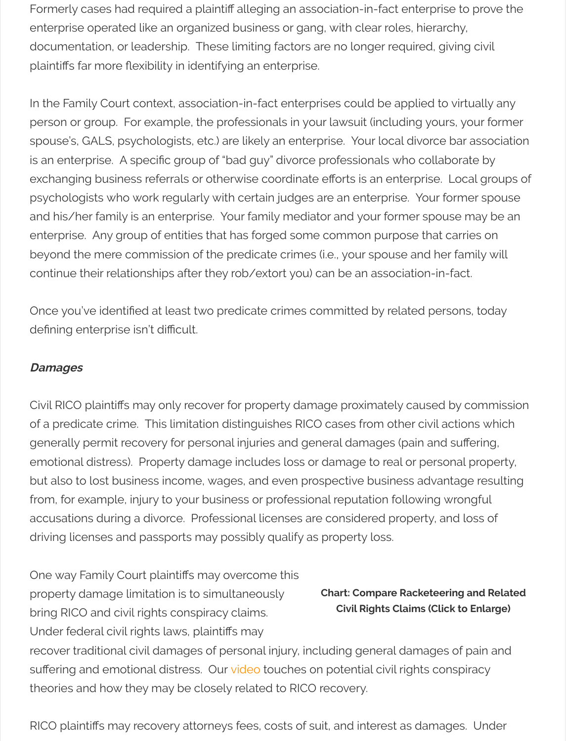exchanging business referrals or otherwise coordinate efforts is an enterprise. psychologists who work regularly with certain judges are an enterprise. Your formation and his/her family is an enterprise. Your family mediator and your former sport enterprise. Any group of entities that has forged some common purpose that beyond the mere commission of the predicate crimes (i.e., your spouse and he continue their relationships after they rob/extort you) can be an association-in

Once you've identified at least two predicate crimes committed by related per defining enterprise isn't difficult.

### **Damages**

Civil RICO plaintiffs may only recover for property damage proximately caused of a predicate crime. This limitation distinguishes RICO cases from other civil a generally permit recovery for personal injuries and general damages (pain and emotional distress). Property damage includes loss or damage to real or persent but also to lost business income, wages, and even prospective business adva from, for example, injury to your business or professional reputation following accusations during a divorce. Professional licenses are considered property, and conserve driving licenses and passports may possibly qualify as property loss.

**Chart: Compare Racketee Civil Rights Claims (Cli** One way Family Court plaintifs may overcome this property damage limitation is to simultaneously bring RICO and civil rights conspiracy claims. Under federal civil rights laws, plaintifs may recover traditional civil damages of personal injury, including general damage suffering and emotional distress. Our video touches on potential civil rights co theories and how they may be closely related to RICO recovery.

RICO plaintiffs may recovery attorneys fees, costs of suit, and interest as dama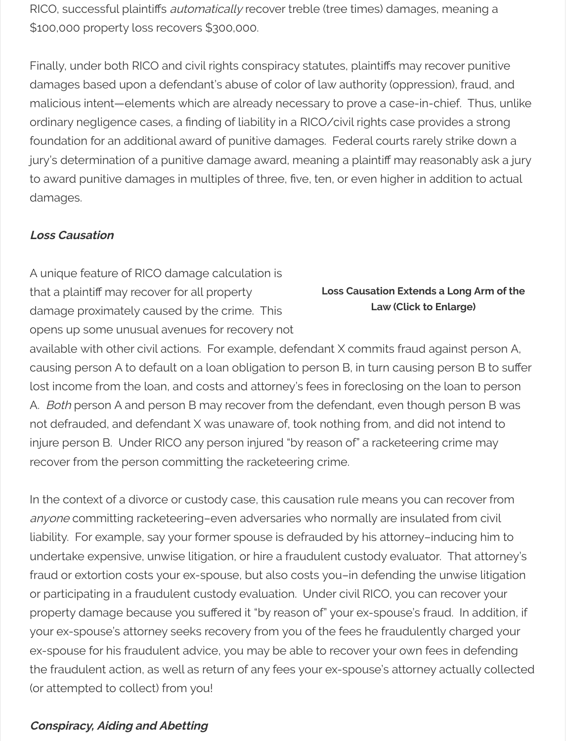to award punitive damages in multiples of three, five, ten, or even higher in ade damages.

### **Loss Causation**

**Loss Causation Extends a Law (Click to Englarge)** A unique feature of RICO damage calculation is that a plaintif may recover for all property damage proximately caused by the crime. This opens up some unusual avenues for recovery not available with other civil actions. For example, defendant X commits fraud against person A, and A, and A, and causing person A to default on a loan obligation to person B, in turn causing p lost income from the loan, and costs and attorney's fees in foreclosing on the A. Both person A and person B may recover from the defendant, even though not defrauded, and defendant X was unaware of, took nothing from, and did n injure person B. Under RICO any person injured "by reason of" a racketeering or recover from the person committing the racketeering crime.

In the context of a divorce or custody case, this causation rule means you can anyone committing racketeering-even adversaries who normally are insulated liability. For example, say your former spouse is defrauded by his attorney-ind undertake expensive, unwise litigation, or hire a fraudulent custody evaluator. fraud or extortion costs your ex-spouse, but also costs you-in defending the u or participating in a fraudulent custody evaluation. Under civil RICO, you can r property damage because you suffered it "by reason of" your ex-spouse's frau your ex-spouse's attorney seeks recovery from you of the fees he fraudulently ex-spouse for his fraudulent advice, you may be able to recover your own fees the fraudulent action, as well as return of any fees your ex-spouse's attorney a (or attempted to collect) from you!

## **Conspiracy, Aiding and Abetting**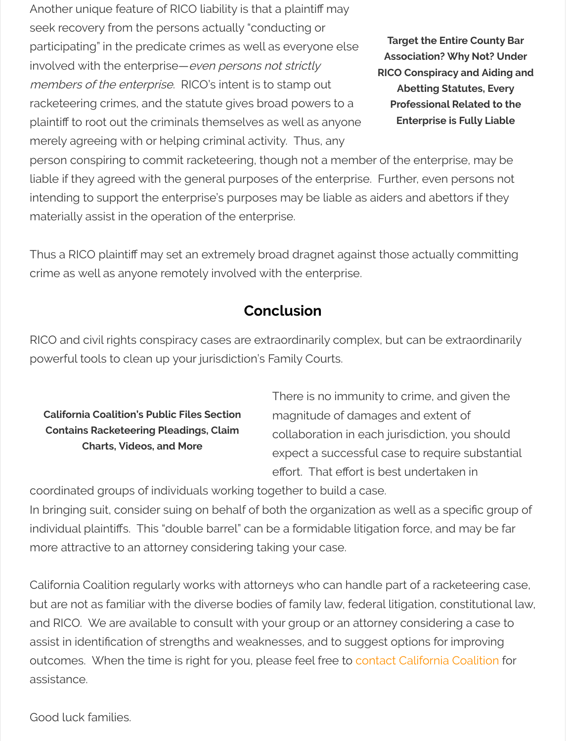liable if they agreed with the general purposes of the enterprise. Further, ever intending to support the enterprise's purposes may be liable as aiders and abe materially assist in the operation of the enterprise.

Thus a RICO plaintiff may set an extremely broad dragnet against those actual crime as well as anyone remotely involved with the enterprise.

# **Conclusion**

RICO and civil rights conspiracy cases are extraordinarily complex, but can be powerful tools to clean up your jurisdiction's Family Courts.

**California Coalition's Public Files Section Contains Racketeering Pleadings, Claim Charts, Videos, and More**

There is no immunity to crime, and  $\overline{a}$ magnitude of damages and exte collaboration in each jurisdiction expect a successful case to require effort. That effort is best undertaken

coordinated groups of individuals working together to build a case.

In bringing suit, consider suing on behalf of both the organization as well as a s individual plaintiffs. This "double barrel" can be a formidable litigation force, an more attractive to an attorney considering taking your case.

California Coalition regularly works with attorneys who can handle part of a rack but are not as familiar with the diverse bodies of family law, federal litigation, c and RICO. We are available to consult with your group or an attorney consider assist in identification of strengths and weaknesses, and to suggest options for outcomes. When the time is right for you, please feel free to contact California assistance.

Good luck families.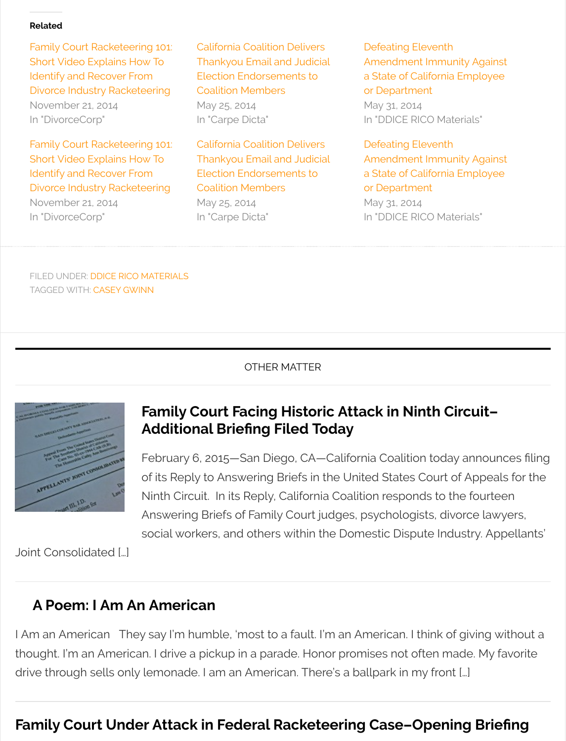Identify and Recover From Divorce Industry Racketeering

November 21, 2014 [In "DivorceCorp"](http://www.weightiermatter.com/divorce/family-court-racketeering-101-short-video-explains-identify-recover-divorce-industry-racketeering/5184/)

Election Endorsements to Coalition Members

May 25, 2014 [In "Carpe Dicta"](http://www.weightiermatter.com/parenting/california-coalition-delivers-thankyou-endorsements-coalition-members/3957/) a State of Califorr or Department May 31, 2014 In "DDICE RICO M

FILED UNDER: DDICE RICO MATERIALS TAGGED WITH: CASEY GWINN

OTHER MATTER



# **Family Court Facing Historic Attack in Ninth Additional Briefng Filed Today**

[Fe](http://www.weightiermatter.com/tag/casey-gwinn/)bruary 6, 2015—San Diego, CA—California Coalition tod of its Reply to Answering Briefs in the United States Court Ninth Circuit. In its Reply, California Coalition responds to Answering Briefs of Family Court judges, psychologists, divorce and social workers, and others within the Domestic Dispute Industry. Appellants

Joint Consolidated […]

# **[A Poem: I Am An American](http://www.weightiermatter.com/law/family-court-judicial-immunity-facing-historic-attack-ninth-circuit-additional-briefing-filed-today/5397/)**

I Am an American They say I'm humble, 'most to a fault. I'm an American. I think thought. I'm an American. I drive a pickup in a parade. Honor promises not often i drive through sells only lemonade. I am an American. There's a ballpark in my fro

# **Family Court Under Attack in Federal Racketeering Case-Oper**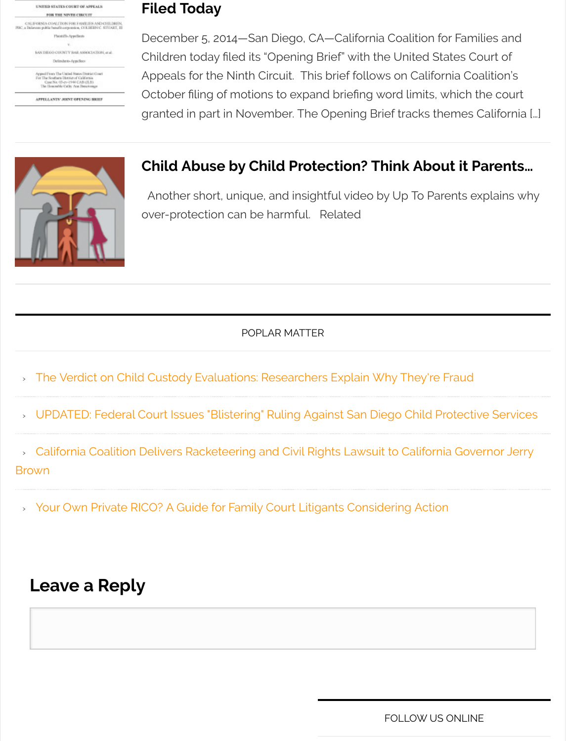

#### **[Child Abuse by Child Protection? Think About it Parents…](http://www.weightiermatter.com/resource-center-ddice-rico-materials/openning-brief-family-court-racketeering-case-filed-today/5246/)**

Another short, unique, and insightful video by Up To Par over-protection can be harmful. Related

[POPLAR MATTER](http://www.weightiermatter.com/parenting/custody-mediatorsevaluators/americas-favorite-form-of-child-abuse-2/230/)

- [The Verdict on Child](http://www.weightiermatter.com/parenting/custody-mediatorsevaluators/americas-favorite-form-of-child-abuse-2/230/) Custody Evaluations: Researchers Explain Why They're
- > UPDATED: Federal Court Issues "Blistering" Ruling Against San Diego Child Pi
- » California Coalition Delivers Racketeering and Civil Rights Lawsuit to Californi

Brown

› Your Own Private RICO? A Guide for Family Court Litigants Considering Action

# **[Leave a Reply](http://www.weightiermatter.com/parenting/federal-court-issues-scathing-ruling-san-diego-child-protective-services/4877/)**

**FOLLOW US**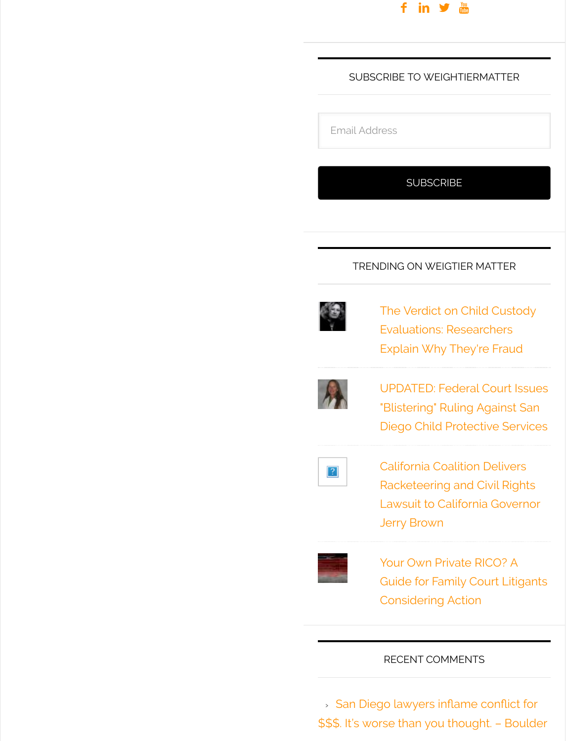### TRENDING ON WEI



The Verdict Evaluations: Explain Why



**UPDATED: F** "Blistering" F Diego Child



California Co Racketeerin Lawsuit to C Jerry Brown



Your Own Pr Guide for Fa Considering

#### RECENT COM

**> San Diego lawyers in** \$\$\$. It's worse than you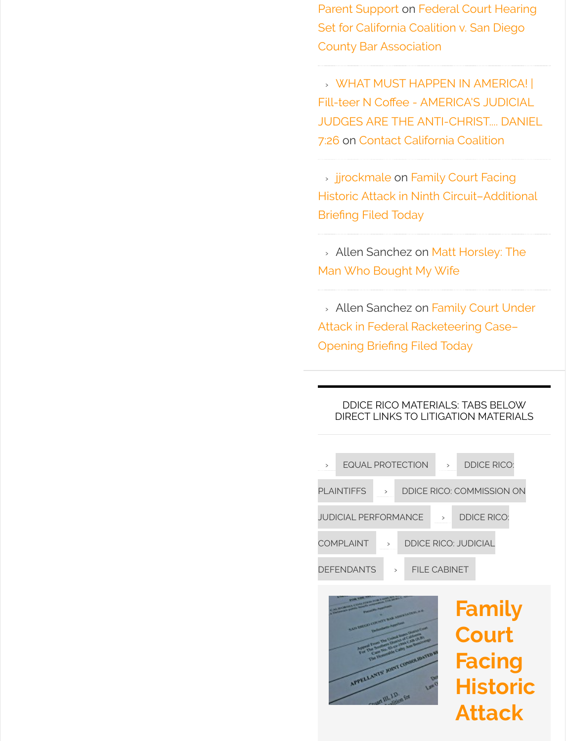> jjrockmale on Family Historic Attack in Ninth Briefng Filed Today

» Allen Sanchez on Ma Man Who Bought My W

» Allen Sanchez on Fa Attack in Federal Racke Op[ening Brie](http://gravatar.com/jjrockmale)fing Filed 7

#### DDICE RICO MATERIA DIRECT LINKS TO LITIG

| $\mathbf{L}$ | <b>EQUAL PROTECTION</b>     |              |                  |  |
|--------------|-----------------------------|--------------|------------------|--|
|              | <b>PLAINTIFFS</b>           | $\mathbf{L}$ | <b>DDICE RIC</b> |  |
|              | <b>JUDICIAL PERFORMANCE</b> |              |                  |  |
|              | <b>COMPLAINT</b>            | $\mathbf{L}$ | <b>DDICE RIC</b> |  |
|              | <b>DEFENDANTS</b>           | $\mathbf{I}$ | <b>FILE CAI</b>  |  |

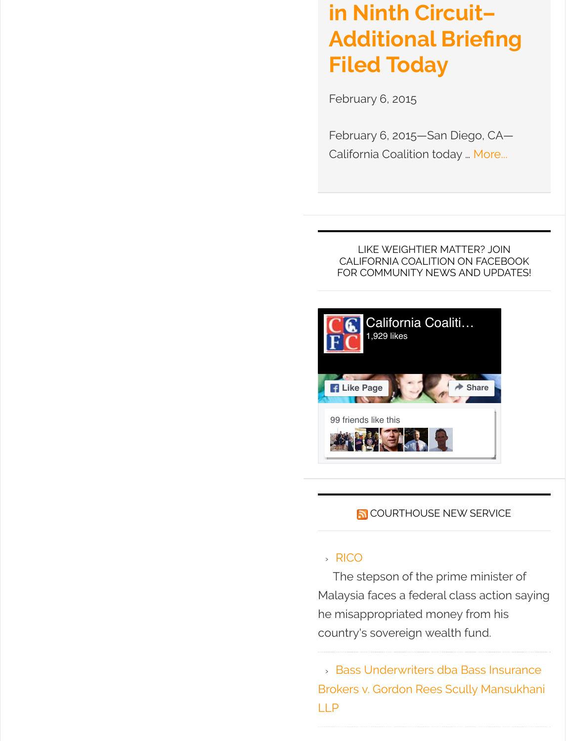#### LIKE WEIGHTIER N CALIFORNIA COALITIC FOR COMMUNITY NEW



### **N** COURTHOUSE

#### › [RICO](https://www.facebook.com/CCFCONLINE/)

The stepson of the p Malaysia faces a federa h[e mis](https://www.facebook.com/michelle.macdonaldshimota)[appr](https://www.facebook.com/karross)[opria](https://www.facebook.com/marc.lemay.378)[ted](https://www.facebook.com/andy.ostrowski.9) mo country's sovereign wea

**> Bas[s U](http://www.courthousenews.com/cns_feed.xml)nderwriters d** Brokers v. Gordon Rees LLP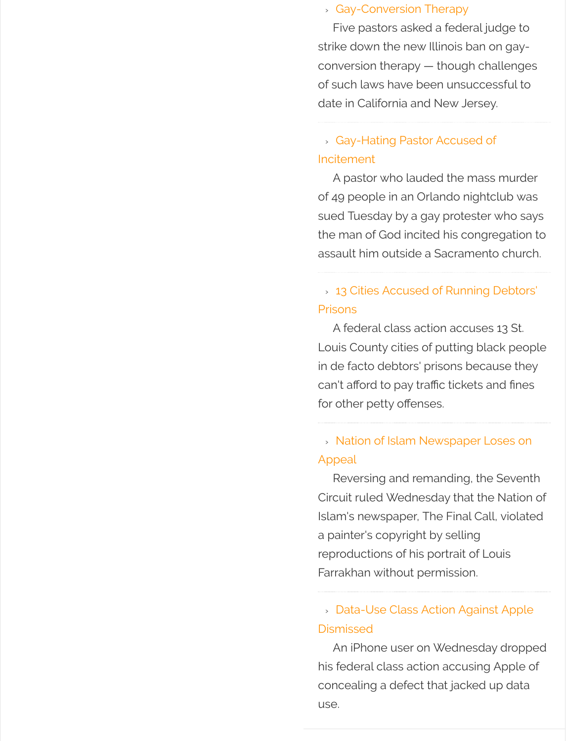A pastor who lauded of 49 people in an Orlan sued Tuesday by a gay the man of God incited assault him outside a Sa

## > 13 Cities Accused of Prisons

A federal class action Louis County cities of pi in de facto debtors' prise can't afford to pay traffic for other petty offenses.

# > Nation of Islam New Appeal

Reversing and reman Circuit ruled Wednesda Islam's newspaper, The a painter's copyright by reproductions of his port Farrakhan without perm

# » Data-Use Class Action **Dismissed**

An iPhone user on W his federal class action a concealing a defect that use.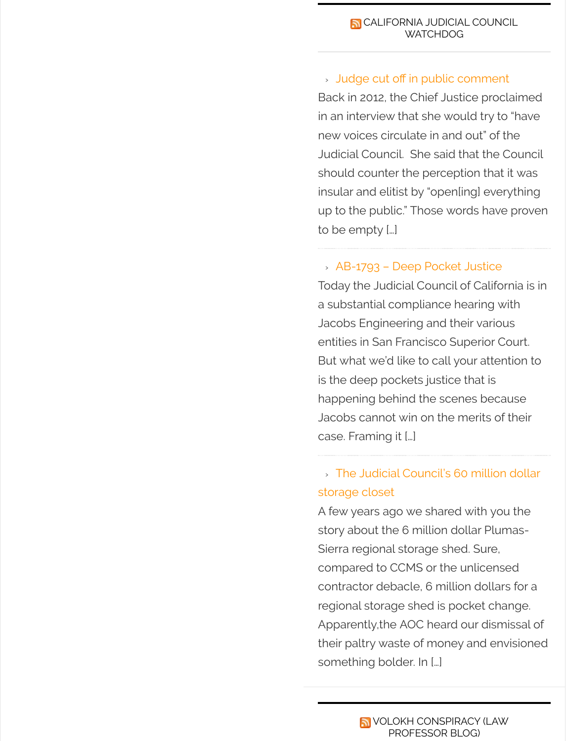should counter the perd insula[r a](http://judicialcouncilwatcher.com/feed/)nd elitist by "op up to the public." Those to be empty […]

### $\times$  AB-1793 – Deep Poc

Today the Judicial Coun a substantial complianc Jacobs Engineering and entities in San Francisco But what we'd like to call is the deep pockets just happening behind the s Jacobs cannot win on the ca[se. Framing it \[…\]](https://judicialcouncilwatcher.com/2016/07/27/ab-1793-deep-pocket-justice/)

# > The Judicial Council storage closet

A few years ago we sha story about the 6 millior Sierra regional storage s compared to CCMS or t contractor debacle, 6 m regional storage shed is Apparently, the AOC hear their paltry waste of mo something bolder. In […]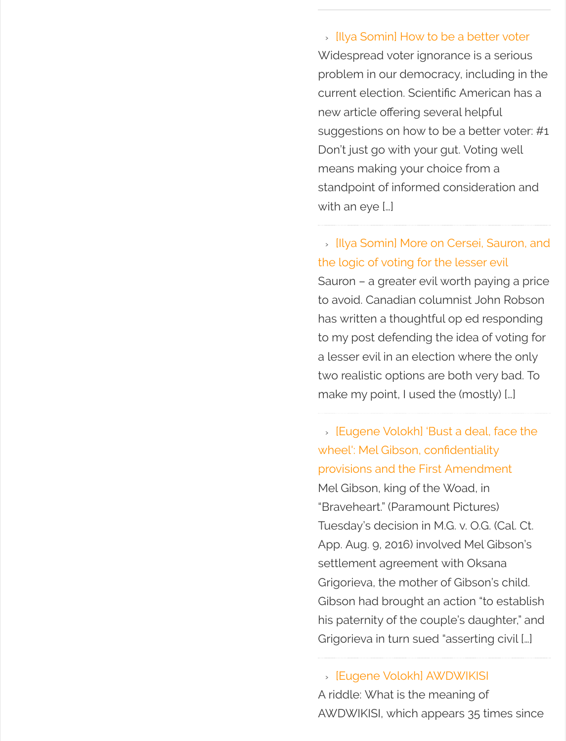means making your cho standpoint of informed wit[h an eye \[…\]](http://feedproxy.google.com/~r/volokh/mainfeed/~3/8PvsQZrelc8/)

» Illya Somin] More on the logic of voting for the Sauron – a greater evil v to avoid. Canadian colui has written a thoughtful to my post defending the a lesser evil in an election two realistic options are make my point, I used tl

» [Eugene Volokh] 'Bust wheel': Mel Gibson, con provisions and the First Mel Gibson, king of the "Braveheart." (Paramour Tuesday's decision in M. App. Aug. 9, 2016) involv settlement agreement v Grigorieva, the mother c Gibson had brought an his paternity of the coup Grigorieva in turn sued '

> [Eugene Volokh] AW A riddle: What is the mean AWDWIKISI, which appe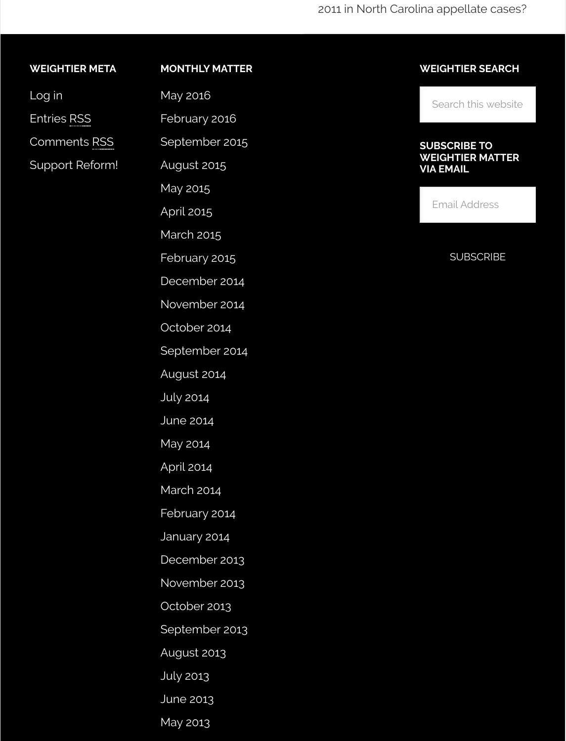| <b>PUPPOLITE INCIDITIE</b> |  |  |  |
|----------------------------|--|--|--|

August 2015

May 2015

April 2015

March 2015

[February 2](http://www.weightiermatter.com/date/2016/05/)015

[December 201](http://www.weightiermatter.com/date/2016/02/)4

[November 2014](http://www.weightiermatter.com/date/2015/09/)

[October 2014](http://www.weightiermatter.com/date/2015/08/)

[Septembe](http://www.weightiermatter.com/date/2015/05/)r 2014

[August 20](http://www.weightiermatter.com/date/2015/04/)14

[July 2014](http://www.weightiermatter.com/date/2015/03/)

[June 2014](http://www.weightiermatter.com/date/2015/02/)

[May 2014](http://www.weightiermatter.com/date/2014/12/)

[April 2014](http://www.weightiermatter.com/date/2014/11/)

[March 2014](http://www.weightiermatter.com/date/2014/10/)

[February 2014](http://www.weightiermatter.com/date/2014/09/)

[January 2014](http://www.weightiermatter.com/date/2014/08/)

[Decembe](http://www.weightiermatter.com/date/2014/07/)r 2013

[November](http://www.weightiermatter.com/date/2014/06/) 2013

[October 2](http://www.weightiermatter.com/date/2014/05/)013

[Septembe](http://www.weightiermatter.com/date/2014/04/)r 2013

[August 2013](http://www.weightiermatter.com/date/2014/03/)

[July 2013](http://www.weightiermatter.com/date/2014/02/)

[June 2013](http://www.weightiermatter.com/date/2014/01/)

[May 2013](http://www.weightiermatter.com/date/2013/12/)

**VIA E** 

 $Em$